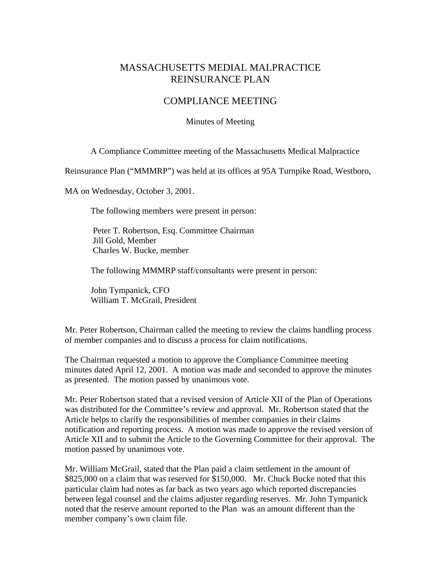## MASSACHUSETTS MEDIAL MALPRACTICE REINSURANCE PLAN

## COMPLIANCE MEETING

## Minutes of Meeting

A Compliance Committee meeting of the Massachusetts Medical Malpractice

Reinsurance Plan ("MMMRP") was held at its offices at 95A Turnpike Road, Westboro,

MA on Wednesday, October 3, 2001.

The following members were present in person:

 Peter T. Robertson, Esq. Committee Chairman Jill Gold, Member Charles W. Bucke, member

The following MMMRP staff/consultants were present in person:

 John Tympanick, CFO William T. McGrail, President

Mr. Peter Robertson, Chairman called the meeting to review the claims handling process of member companies and to discuss a process for claim notifications.

The Chairman requested a motion to approve the Compliance Committee meeting minutes dated April 12, 2001. A motion was made and seconded to approve the minutes as presented. The motion passed by unanimous vote.

Mr. Peter Robertson stated that a revised version of Article XII of the Plan of Operations was distributed for the Committee's review and approval. Mr. Robertson stated that the Article helps to clarify the responsibilities of member companies in their claims notification and reporting process. A motion was made to approve the revised version of Article XII and to submit the Article to the Governing Committee for their approval. The motion passed by unanimous vote.

Mr. William McGrail, stated that the Plan paid a claim settlement in the amount of \$825,000 on a claim that was reserved for \$150,000. Mr. Chuck Bucke noted that this particular claim had notes as far back as two years ago which reported discrepancies between legal counsel and the claims adjuster regarding reserves. Mr. John Tympanick noted that the reserve amount reported to the Plan was an amount different than the member company's own claim file.